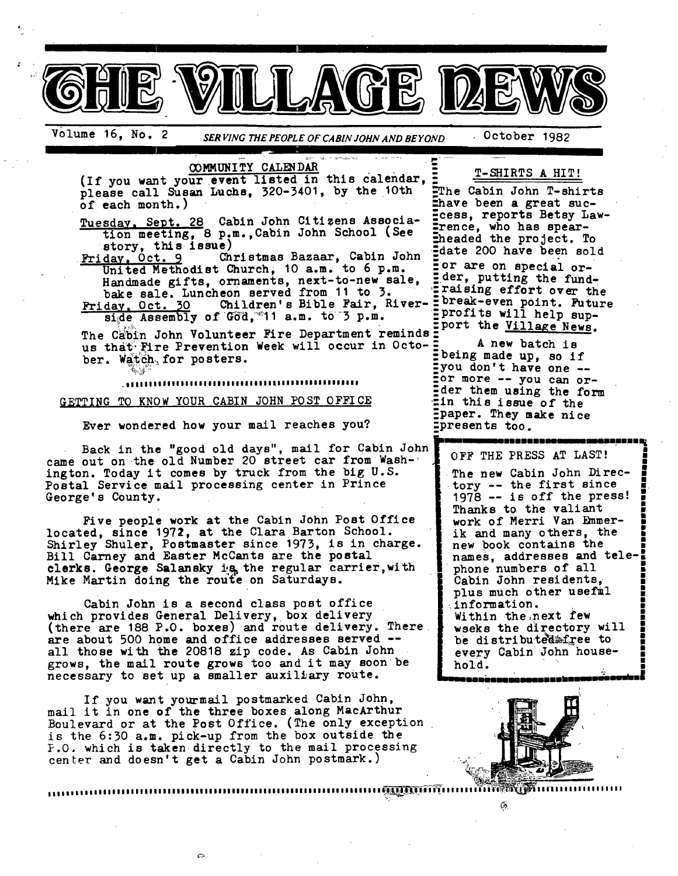

# Volume 16, No. 2 *SERVING THE PEOPLE OF CABIN JOHN AND BEYOND* October 1982

• <u>in de la componenta de la componenta de la componenta de la componenta de la componenta de la componenta de la</u>

**COMMUNITY CALENDAR**<br>(If you want your event listed in this calendar, ... T-SHIRTS A HIT!<br>
please call Susan Luchs. 320-3401, by the 10th ... The Cabin John T-shirts please call Susan Luchs, 320-3401, by the 10th of each month.)

Tuesday, Sept. 28 Cabin John Citizens Association meeting, 8 p.m., Cabin John School (See

story, this issue)<br>Friday, Oct. 9 Ch Friday, Oct. 9 Christmas Bazaar, Cabin John United Methodist Church, 10 a.m. to 6 p.m. Handmade gifts, ornaments, next-to-new sale, bake sale. Luncheon served from 11 to 3.  $\frac{r}{r}$  raising effort over the  $\frac{1}{r}$ . The  $\frac{1}{r}$  only  $\frac{1}{r}$  only  $\frac{1}{r}$  only  $\frac{1}{r}$  only  $\frac{1}{r}$  only  $\frac{1}{r}$  only  $\frac{1}{r}$  only  $\frac{1}{r}$  only  $\frac{1}{r}$  o

Friday, Oct. 30 Children's Bible Fair, River- = <sup>preak-even</sup> point. Futurent Profits will help sup-

The Cabin John Volunteer Fire Department reminds : was the season of the Villa-e News. us that Fire Prevention Week will occur in Octo-: ber. Watch, for posters.

.,,,,,,,,,,,,,,,,,,,,,,,,,,,,,,,,,,,,,,,,,,,,,,,,,,,

GETTING TO KNOW YOUR CABIN JOHN POST OFFICE

Ever wondered how your mail reaches you?

Back in the "good old days", mail for Cabin John came out on the old Number 20 street car from Washington. Today it comes by truck from the big U.S. Postal Service mail processing center in Prince George' s County.

Five people work at the Cabin John Post Office located, since 1972, at the Clara Barton School. Shirley Shuler, Postmaster since 1973, is in charge. Bill Carney and Easter McCants are the postal clerks. George Salansky is the regular carrier, with Mike Martin doing the route on Saturdays.

Cabin John is a second class post office which provides General Delivery, box delivery (there are 188 P.O. boxes) and route delivery. There are about 500 home and office addresses served - all those with the 20818 zip code. As Cabin John grows, the mail route grows too and it may soon be necessary to set up a smaller auxiliary route.

If you want your mail postmarked Cabin John, mail it in one of the three boxes along MacArthur Boulevard or at the Post Office. (The only exception is the 6:30 a.m. pick-up from the box outside the P.O. which is taken directly to the mail processing center and doesn't get a Cabin John postmark.)

Ehave been a great suc-Ecess, reports Betsy Law--rence, who has spearmheaded the project. To date 200 have been sold :or are on special or- Eder, putting the fund-<br>Eraising effort over the  $\frac{1}{2}$  assembly of God, 11 a.m. to 3 p.m.  $\frac{1}{2}$  profits will help sup-

> being made up, so if you don't have one --For more -- you can or-Ider them using the form :in this issue of the paper. They make nice :presents too.

m,-,-,nnr,u,amm,unm==imnmi.nnn nn nn ~ OFF THE PRESS AT LAST!

The new Cabin John Directory  $--$  the first since  $1978$  -- is off the press! Thanks to the valiant work of Merri Van Emmer- | ik and many others, the new book contains the names, addresses and telephone numbers of all Cabin John residents, | plus much other usefml information. Within the next few wseks the directory will | be distributed afree to every Cabin John house-



**hold. " " ,** "-

 $\epsilon$ 

**UROLUMOUD DE AUDIT DE L'AUDIT DE L'AUDIT DE L'AUDIT DE L'AUDIT DE L'AUDIT DE L'AUDIT DE L'AUDIT DE L'AUDIT DE**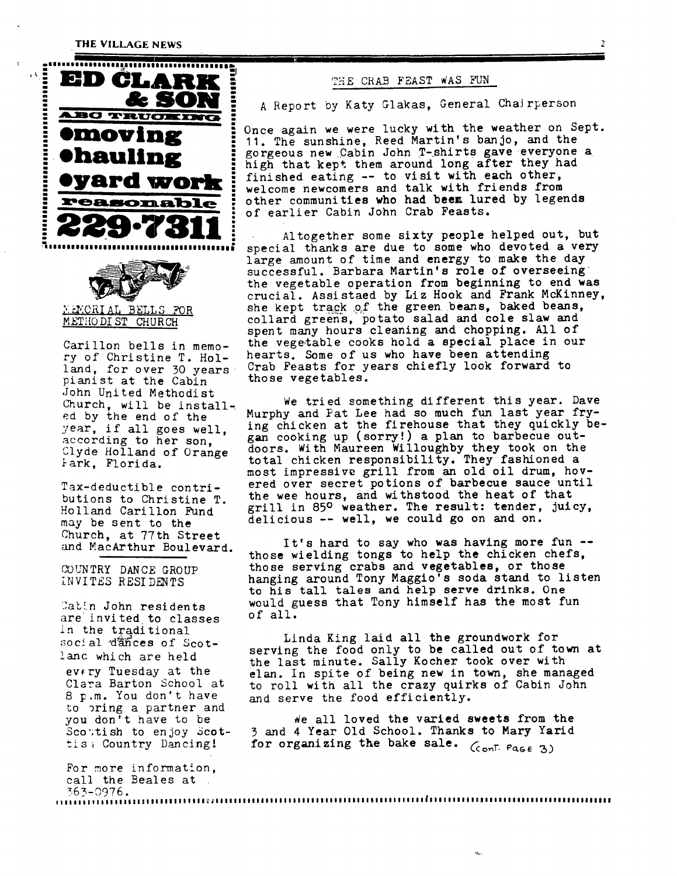### **THE VILLAGE NEWS**

**:** 





pianist at the Cabin John United Methodist Church, will be installed by the end of the year, if all goes well, according to her son, Clyde Holland of Orange 9ark, Florida.

Tax-deductible contributions to Christine T. Holland Carillon Fund may be sent to the Church, at 77th Street and MacArthur Boulevard.

CO!INTRY DANCE GROUP INVITES RESIDENTS

Cabin John residents are invited to classes in the traditional social dances of Scotlanc which are held evfry Tuesday at the Clara Barton School at 8 p.m. You don't have to oring a partner and you don't have to be Scottish to enjoy Scottis; Country Dancing!

For more information, call the Beales at 363-0976. I i ! I, I | I v ! i II I I,| ! I ! ! II I Ill I ! ! ! I I ~ J li II I I III I I Ill I I I ! I I I I I I III I I Iil I I ! I I I I I I I I I I I ~I I I I I I I \$ I ! lJl I III II II I\$I I II II\$ IIIIIIIIII

Once again we were lucky with the weather on Sept. **lingally**  $\frac{1}{2}$  is the sunshine, Reed Martin's banjo, and the gorgeous new Cabin John T-shirts gave everyone a **Chauling Forgeous new Cabin John T-shirts gave everyone is a straight that kept them around long after they had**  $\bullet$  **with each other,**  $\bullet$  **<b>WAPd WIOPE**  $\bullet$  finished eating -- to visit with each other, **FELM WUITE:** welcome newcomers and talk with friends from<br>**PERSONAble** : other communities who had been lured by lege other communities who had beem lured by legends<br>of earlier Cabin John Crab Feasts.

Altogether some sixty people helped out, but special thanks are due to some who devoted a very large amount of time and energy to make the day successful. Barbara Martin's role of overseeing the vegetable operation from beginning to end was crucial. Assistaed by Liz Hook and Frank McKinney,  $\times$ ENCRIAL BELLS FOR she kept track of the green beans, baked beans, METHODIST CHURCH collard greens, potato salad and cole slaw and spent many hours cleaning and chopping. All of Carillon bells in memo- the vegetable cooks hold a special place in our ry of Christine T. Hol- hearts. Some of us who have been attending land, for over 30 years Crab Feasts for years chiefly look forward to<br>pianist at the Cabin those vegetables.

> We tried something different this year. Dave Murphy and Pat Lee had so much fun last year frying chicken at the firehouse that they quickly began cooking up (sorry!) a plan to barbecue outdoors. With Maureen Willoughby they took on the total chicken responsibility. They fashioned a most impressive grill from an old oil drum, hovered over secret potions of barbecue sauce until the wee hours, and withstood the heat of that grill in 85° weather. The result: tender, juicy, delicious -- well, we could go on and on.

It's hard to say who was having more fun - those wielding tongs to help the chicken chefs, those serving crabs and vegetables, or those hanging around Tony Maggio's soda stand to listen to his tall tales and help serve drinks. One would guess that Tony himself has the most fun of all.

Linda King laid all the groundwork for serving the food only to be called out of town at the last minute. Sally Kocher took over with elan. In spite of being new in town, she managed to roll with all the crazy quirks of Cabin John and serve the food efficiently.

~e all loved the varied sweets from the 3 and 4 Year Old School. Thanks to Mary Yarid for organizing the bake sale.  $(6)$   $(7)$   $(8)$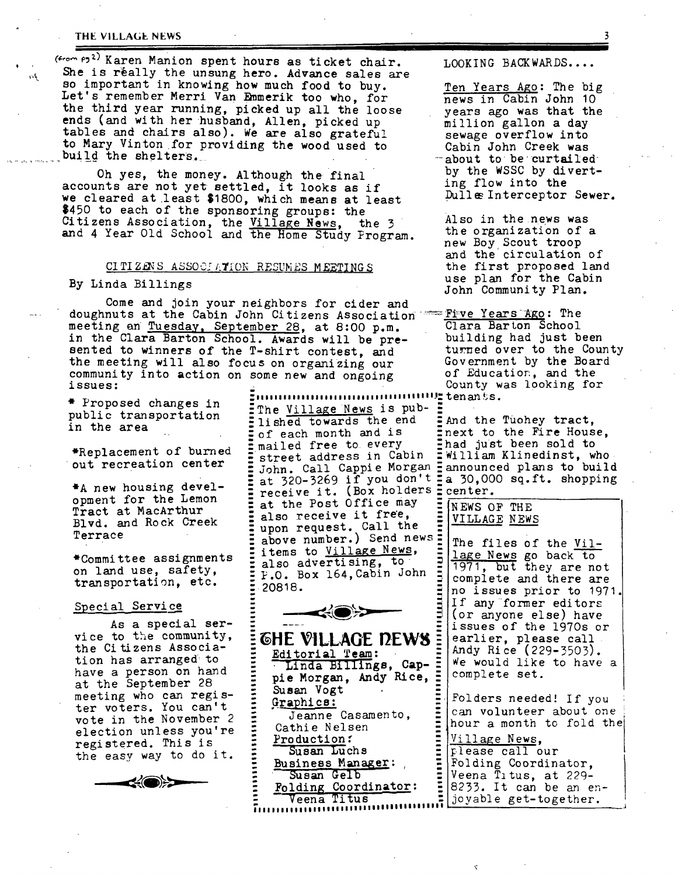# THE VILLAGE NEWS

 $($ <sub>from</sub>  $P3<sup>2</sup>)$  Karen Manion spent hours as ticket chair.  $\frac{1}{104}$  She is really the unsung hero. Advance sales are so important in knowing how much food to buy. Let's remember Merri Van Emmerik too who, for the third year running, picked up all the loose ends (and with her husband, Allen, picked up tables and chairs also). We are also grateful to Mary Vinton for providing the wood used to build the shelters.

Oh yes, the money. Although the final accounts are not yet settled, it looks as if we cleared at least 81800, which means at least \$450 to each of the sponsoring groups: the Citizens Association, the <u>Village News</u>, the 3 and 4 Year Old School and the Home Study Program.

# CITIZENS ASSOCIATION RESUMES MEETINGS

Come and join your neighbors for cider and doughnuts at the Cabin John Citizens Association ~--Fi~ve Years AEo: The meeting an Tuesday, September 28, at 8:00 p.m. Clara Barton School in the Clara Barton School. Awards will be pre- building had just been sented to winners of the T-shirt contest, and turned over to the County<br>the meeting will also focus on organizing our Government by the Board the meeting will also focus on organizing our Government by the Board community into action on some new and ongoing of Education, and the community into action on some new and ongoing issues:

\*Replacement of burned out recreation center

\*A new housing development for the Lemon Tract at MacArthur Blvd. and Rock Creek Terrace

\*Commi tree assignments on land use, safety, transportation, etc.

## Special Service

As a special service to the community, the Citizens Association has arranged to have a person on hand at the September 28 meeting who can register voters. You can't vote in the November 2 election unless you're registered. This is the easy way to do it.

 $\leq$   $\bullet$ 

**:illllliallilllilii liiillii ililillilllll.l:** tenants. " Proposed changes in "The Villa~e News is pub- .-" public transportation  $\frac{1}{2}$  lished towards the end  $\frac{1}{2}$  and the Tuohey tract, in the area  $\ldots$  :  $\frac{1}{2}$  of each month and is :  $\frac{1}{2}$  next to the Fire House,  $\bar{\Xi}$  mailed free to every ,  $\bar{\Xi}$  had just been sold to  $\Xi$  street address in Cabin  $\Xi$  William Klinedinst, who  $:$  John. Call Cappie Morgan  $\exists$  announced plans to build  $\Xi$  at 320-3269 if you don't  $\Xi$ a 30,000 sq.ft. shopping  $\Xi$  receive it. (Box holders  $\Xi$  center. at the Post Office may **also** receive it fre'e, upon request. Call the above number.) Send news = items to Village News, also advertising, to  $E P. O.$  Box 164, Cabin John 20818.



**GHE VILLAGE DEWS** Editorial Team:  $\Xi$  - Linda Billings, Cap-  $\Xi$  |  $\hspace{0.1cm}$  = pie Morgan, Andy Rice, : ' Susan Vogt Graphics: Jeanne Casamento, Cathie Nelsen Production: Susan Luchs Business Manager: Susan Gelb : Folding Coordinator: : | ' ~eenh Titus ?II110ill011111111111111111110111illlllli~

LOOKING BACKWARDS....

Ten Years Ago: The big news in Cabin John 10 years ago was that the million gallon a day sewage overflow into Cabin John Creek was about to be curtailed by the WSSC by diverting flow into the Dulle Interceptor Sewer.

Also in the news was the organization of a new Boy, Scout troop and the circulation of the first proposed land use plan for the Cabin By Linda Billings and the Cause of the Community Plan.

County was looking for

NEWS OF THE VILLAGE NEWS

The files of the Village News go back to 1971, but they are not complete and there are no issues prior to 1971 If any-former editors (or anyone else) have issues of the 197Os or earlier, please call Andy Rice (229-3503). We would like to have a complete set.

Folders needed! If you can volunteer about one hour a month to fold the

**E** Village News, please call our Folding Coordinator, Veena Titus, at 229- *8233.* It can be an en-[joyable get-together.